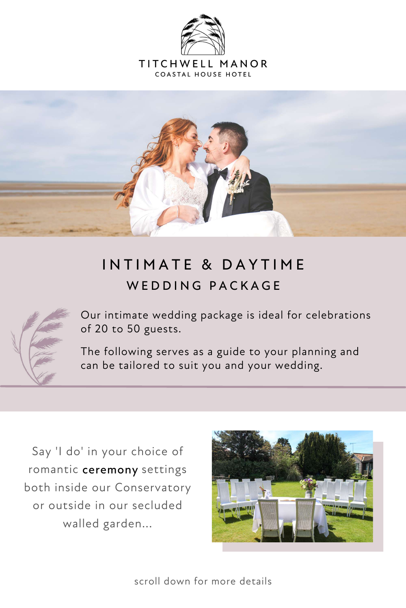

TITCHWELL MANOR **COASTAL HOUSE HOTEL** 



## IN TIMATE & DAYTIME WED D ING PACKAGE



Say 'I do' in your choice of romantic ceremony settings both inside our Conservatory or outside in our secluded walled garden...



Our intimate wedding package is ideal for celebrations of 20 to 50 guests.

The following serves as a guide to your planning and can be tailored to suit you and your wedding.



scroll down for more details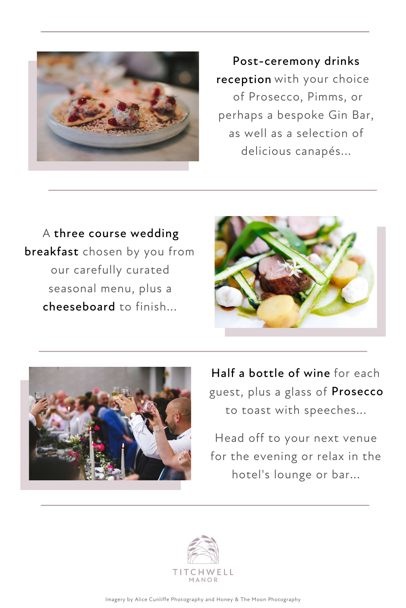guest, plus a glass of Prosecco to toast with speeches...

Head off to your next venue for the evening or relax in the hotel's lounge or bar...





Post-ceremony drinks Post-ceremony drinks reception with your choice of Prosecco, Pimms, or perhaps a bespoke Gin Bar, as well as a selection of delicious canapés...

A three course wedding threecourse wedding breakfast chosen by you from breakfast our carefully curated seasonal menu, plus a cheeseboard to finish... cheeseboard





Half a bottle of wine for each

Imagery by Alice Cunliffe Photography and Honey & The Moon Photography